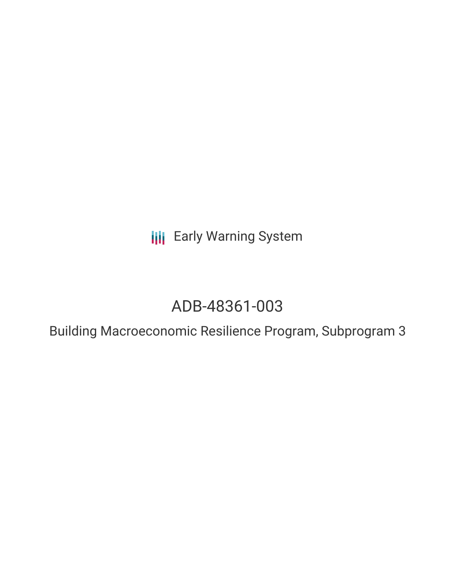**III** Early Warning System

# ADB-48361-003

Building Macroeconomic Resilience Program, Subprogram 3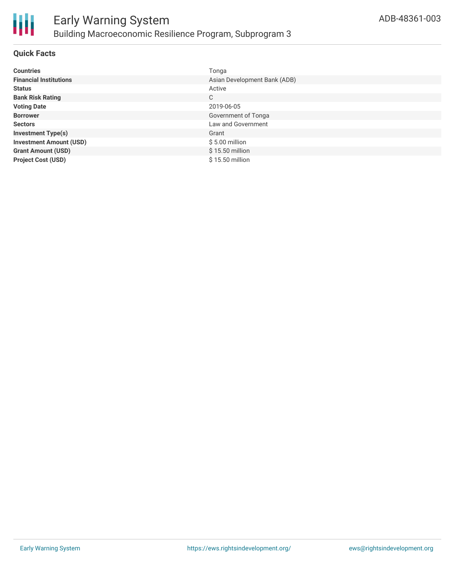

#### **Quick Facts**

| <b>Countries</b>               | Tonga                        |
|--------------------------------|------------------------------|
| <b>Financial Institutions</b>  | Asian Development Bank (ADB) |
| <b>Status</b>                  | Active                       |
| <b>Bank Risk Rating</b>        | C                            |
| <b>Voting Date</b>             | 2019-06-05                   |
| <b>Borrower</b>                | Government of Tonga          |
| <b>Sectors</b>                 | Law and Government           |
| <b>Investment Type(s)</b>      | Grant                        |
| <b>Investment Amount (USD)</b> | $$5.00$ million              |
| <b>Grant Amount (USD)</b>      | $$15.50$ million             |
| <b>Project Cost (USD)</b>      | \$15.50 million              |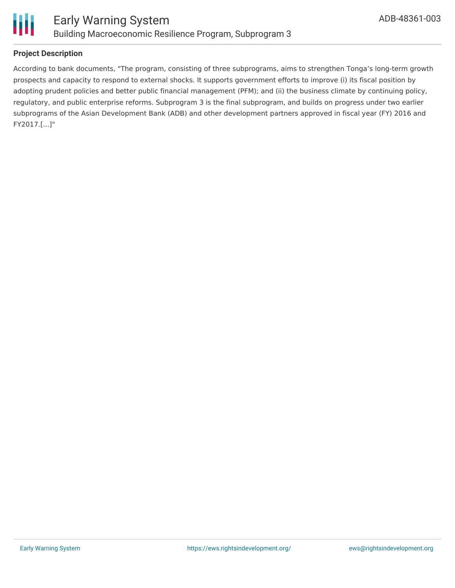

## **Project Description**

According to bank documents, "The program, consisting of three subprograms, aims to strengthen Tonga's long-term growth prospects and capacity to respond to external shocks. It supports government efforts to improve (i) its fiscal position by adopting prudent policies and better public financial management (PFM); and (ii) the business climate by continuing policy, regulatory, and public enterprise reforms. Subprogram 3 is the final subprogram, and builds on progress under two earlier subprograms of the Asian Development Bank (ADB) and other development partners approved in fiscal year (FY) 2016 and FY2017.[...]"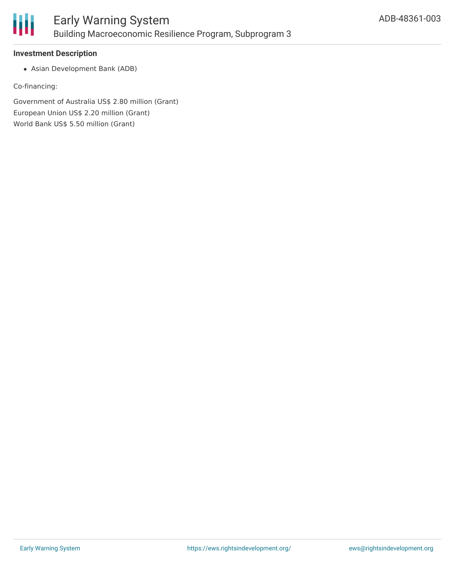

### **Investment Description**

Asian Development Bank (ADB)

Co-financing:

Government of Australia US\$ 2.80 million (Grant) European Union US\$ 2.20 million (Grant) World Bank US\$ 5.50 million (Grant)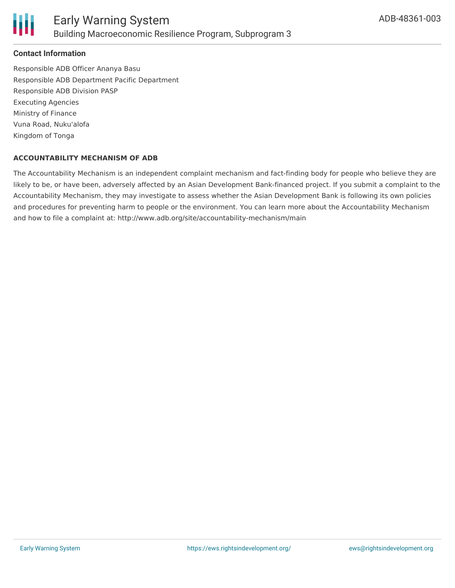

### **Contact Information**

Responsible ADB Officer Ananya Basu Responsible ADB Department Pacific Department Responsible ADB Division PASP Executing Agencies Ministry of Finance Vuna Road, Nuku'alofa Kingdom of Tonga

#### **ACCOUNTABILITY MECHANISM OF ADB**

The Accountability Mechanism is an independent complaint mechanism and fact-finding body for people who believe they are likely to be, or have been, adversely affected by an Asian Development Bank-financed project. If you submit a complaint to the Accountability Mechanism, they may investigate to assess whether the Asian Development Bank is following its own policies and procedures for preventing harm to people or the environment. You can learn more about the Accountability Mechanism and how to file a complaint at: http://www.adb.org/site/accountability-mechanism/main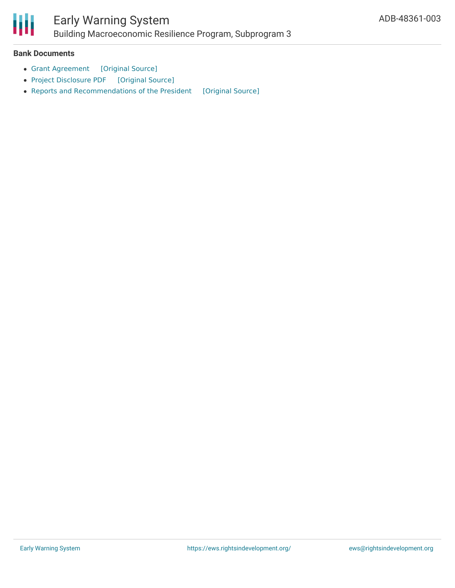

## Early Warning System

Building Macroeconomic Resilience Program, Subprogram 3

#### **Bank Documents**

- Grant [Agreement](https://ewsdata.rightsindevelopment.org/files/documents/03/ADB-48361-003_JKjnk9I.pdf) [\[Original](https://www.adb.org/sites/default/files/project-documents/48361/48361-003-grj-en.pdf) Source]
- Project [Disclosure](https://ewsdata.rightsindevelopment.org/files/documents/03/ADB-48361-003.pdf) PDF [\[Original](https://www.adb.org/printpdf/projects/48361-003/main) Source]
- Reports and [Recommendations](https://ewsdata.rightsindevelopment.org/files/documents/03/ADB-48361-003_vuyRdBR.pdf) of the President [\[Original](https://www.adb.org/sites/default/files/project-documents/48361/48361-003-rrp-en.pdf) Source]